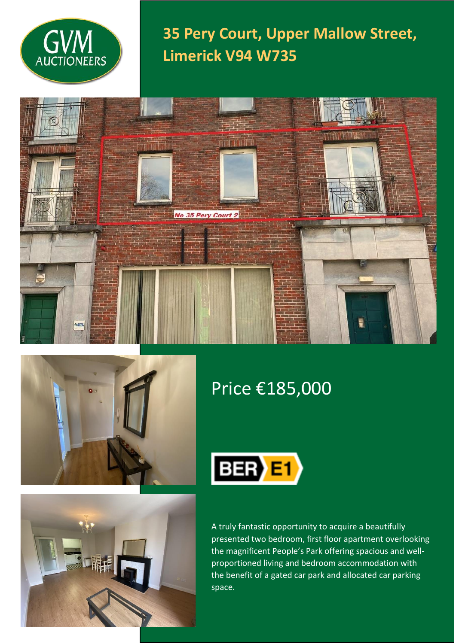

**35 Pery Court, Upper Mallow Street, Limerick V94 W735**





# Price €185,000



A truly fantastic opportunity to acquire a beautifully presented two bedroom, first floor apartment overlooking the magnificent People's Park offering spacious and wellproportioned living and bedroom accommodation with the benefit of a gated car park and allocated car parking space.

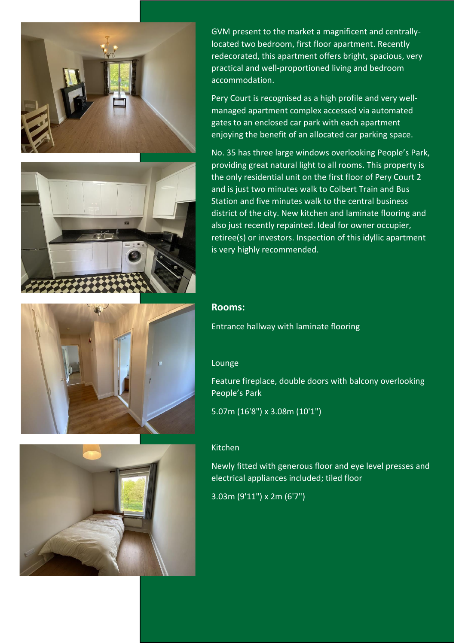







GVM present to the market a magnificent and centrallylocated two bedroom, first floor apartment. Recently redecorated, this apartment offers bright, spacious, very practical and well-proportioned living and bedroom accommodation.

Pery Court is recognised as a high profile and very wellmanaged apartment complex accessed via automated gates to an enclosed car park with each apartment enjoying the benefit of an allocated car parking space.

No. 35 has three large windows overlooking People's Park, providing great natural light to all rooms. This property is the only residential unit on the first floor of Pery Court 2 and is just two minutes walk to Colbert Train and Bus Station and five minutes walk to the central business district of the city. New kitchen and laminate flooring and also just recently repainted. Ideal for owner occupier, retiree(s) or investors. Inspection of this idyllic apartment is very highly recommended.

### **Rooms:**

Entrance hallway with laminate flooring

#### Lounge

Feature fireplace, double doors with balcony overlooking People's Park

5.07m (16'8") x 3.08m (10'1")

#### Kitchen

Newly fitted with generous floor and eye level presses and electrical appliances included; tiled floor

3.03m (9'11") x 2m (6'7")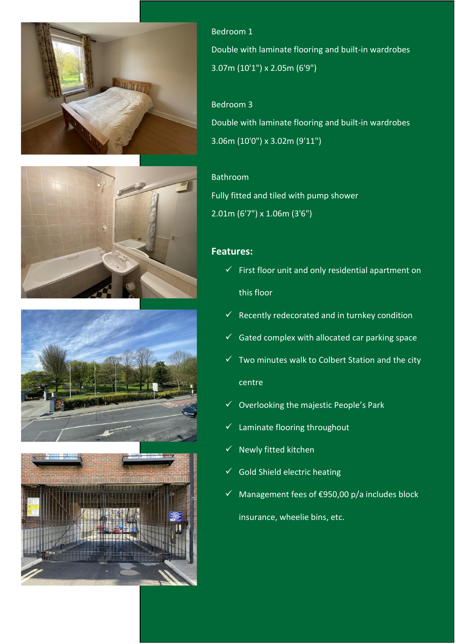







Bedroom 1 Double with laminate flooring and built-in wardrobes 3.07m (10'1") x 2.05m (6'9")

## Bedroom 3

Double with laminate flooring and built-in wardrobes 3.06m (10'0") x 3.02m (9'11")

## Bathroom

Fully fitted and tiled with pump shower 2.01m (6'7") x 1.06m (3'6")

### **Features:**

- $\checkmark$  First floor unit and only residential apartment on this floor
- $\checkmark$  Recently redecorated and in turnkey condition
- $\checkmark$  Gated complex with allocated car parking space
- $\checkmark$  Two minutes walk to Colbert Station and the city centre
- $\checkmark$  Overlooking the majestic People's Park
- ✓ Laminate flooring throughout
- $\checkmark$  Newly fitted kitchen
- $\checkmark$  Gold Shield electric heating
- ✓ Management fees of €950,00 p/a includes block insurance, wheelie bins, etc.